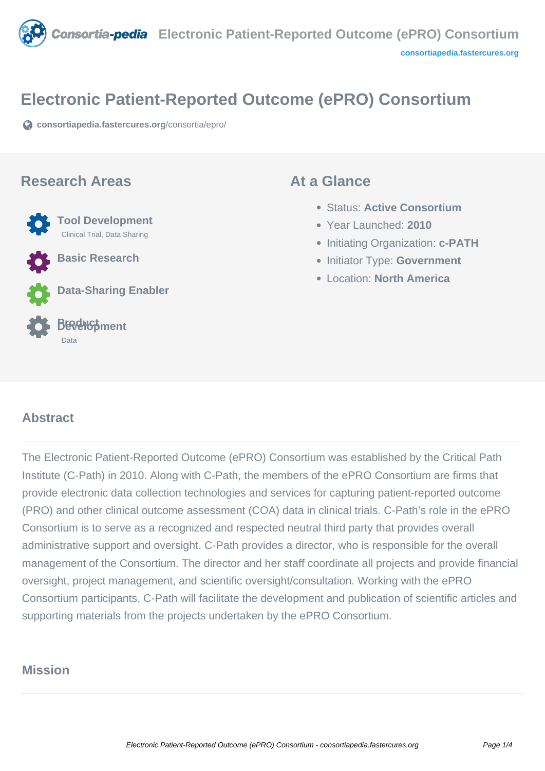

## **Electronic Patient-Reported Outcome (ePRO) Consortium**

**[consortiapedia.fastercures.org](https://consortiapedia.fastercures.org/consortia/epro/)**[/consortia/epro/](https://consortiapedia.fastercures.org/consortia/epro/)

#### **Research Areas**

 **Tool Development** Clinical Trial, Data Sharing **Basic Research**

**Data-Sharing Enabler**

#### **Product Development** Data

#### **At a Glance**

- Status: **Active Consortium**
- Year Launched: **2010**
- **Initiating Organization: c-PATH**
- **Initiator Type: Government**
- Location: **North America**

#### $\overline{a}$ **Abstract**

The Electronic Patient-Reported Outcome (ePRO) Consortium was established by the Critical Path Institute (C-Path) in 2010. Along with C-Path, the members of the ePRO Consortium are firms that provide electronic data collection technologies and services for capturing patient-reported outcome (PRO) and other clinical outcome assessment (COA) data in clinical trials. C-Path's role in the ePRO Consortium is to serve as a recognized and respected neutral third party that provides overall administrative support and oversight. C-Path provides a director, who is responsible for the overall management of the Consortium. The director and her staff coordinate all projects and provide financial oversight, project management, and scientific oversight/consultation. Working with the ePRO Consortium participants, C-Path will facilitate the development and publication of scientific articles and supporting materials from the projects undertaken by the ePRO Consortium.

# **Mission**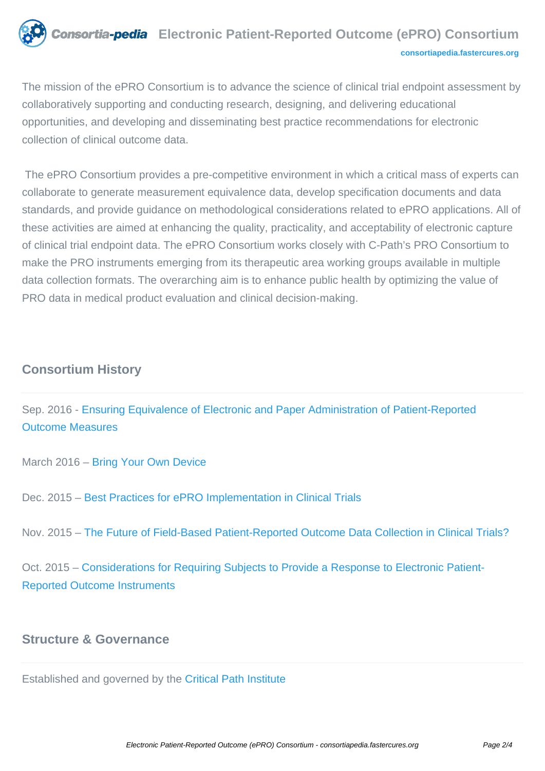

The mission of the ePRO Consortium is to advance the science of clinical trial endpoint assessment by collaboratively supporting and conducting research, designing, and delivering educational opportunities, and developing and disseminating best practice recommendations for electronic collection of clinical outcome data.

 The ePRO Consortium provides a pre-competitive environment in which a critical mass of experts can collaborate to generate measurement equivalence data, develop specification documents and data standards, and provide guidance on methodological considerations related to ePRO applications. All of these activities are aimed at enhancing the quality, practicality, and acceptability of electronic capture of clinical trial endpoint data. The ePRO Consortium works closely with C-Path's PRO Consortium to make the PRO instruments emerging from its therapeutic area working groups available in multiple data collection formats. The overarching aim is to enhance public health by optimizing the value of PRO data in medical product evaluation and clinical decision-making.

## **Consortium History**

Sep. 2016 - [Ensuring Equivalence of Electronic and Paper Administration of Patient-Reported](https://c-path.org/epro-consortium-webinar-ensuring-equivalence-of-electronic-and-paper-administration-of-patient-reported-outcome-measures-2/) [Outcome Measures](https://c-path.org/epro-consortium-webinar-ensuring-equivalence-of-electronic-and-paper-administration-of-patient-reported-outcome-measures-2/)

March 2016 – [Bring Your Own Device](https://c-path.org/bring-your-own-device-byod/)

Dec. 2015 – [Best Practices for ePRO Implementation in Clinical Trials](https://c-path.org/epro-consortium-webinar-best-practices-for-epro-implementation-in-clinical-trials/)

Nov. 2015 – [The Future of Field-Based Patient-Reported Outcome Data Collection in Clinical Trials?](http://journals.sagepub.com/doi/abs/10.1177/2168479015609104)

Oct. 2015 – [Considerations for Requiring Subjects to Provide a Response to Electronic Patient-](http://journals.sagepub.com/doi/abs/10.1177/2168479015609647)[Reported Outcome Instruments](http://journals.sagepub.com/doi/abs/10.1177/2168479015609647)

### **Structure & Governance**

Established and governed by the [Critical Path Institute](https://c-path.org/)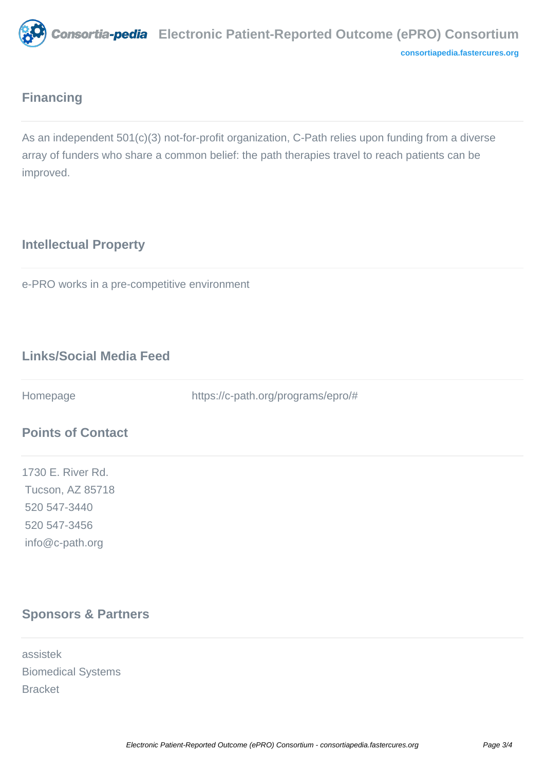

## **Financing**

As an independent 501(c)(3) not-for-profit organization, C-Path relies upon funding from a diverse array of funders who share a common belief: the path therapies travel to reach patients can be improved.

# **Intellectual Property**

e-PRO works in a pre-competitive environment

# **Links/Social Media Feed**

Homepage https://c-path.org/programs/epro/#

## **Points of Contact**

1730 E. River Rd. Tucson, AZ 85718 520 547-3440 520 547-3456 info@c-path.org

# **Sponsors & Partners**

assistek Biomedical Systems Bracket